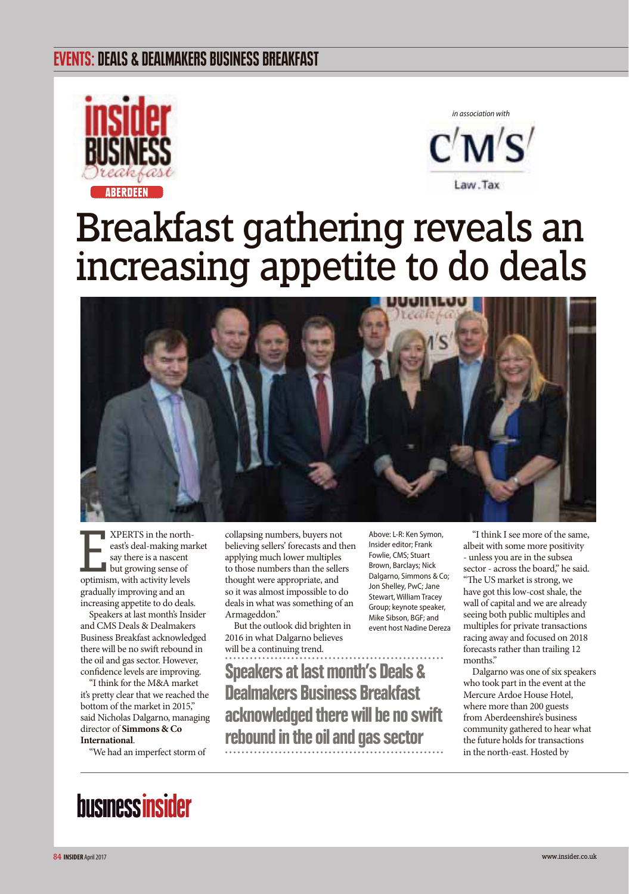### EVENTS: DEALS & DEALMAKERS BUSINESS BREAKFAST





# Breakfast gathering reveals an increasing appetite to do deals



E XPERTS in the northeast's deal-making market say there is a nascent but growing sense of optimism, with activity levels gradually improving and an increasing appetite to do deals.

Speakers at last month's Insider and CMS Deals & Dealmakers Business Breakfast acknowledged there will be no swift rebound in the oil and gas sector. However, confidence levels are improving.

"I think for the M&A market it's pretty clear that we reached the bottom of the market in 2015," said Nicholas Dalgarno, managing director of **Simmons & Co International**.

"We had an imperfect storm of

collapsing numbers, buyers not believing sellers' forecasts and then applying much lower multiples to those numbers than the sellers thought were appropriate, and so it was almost impossible to do deals in what was something of an Armageddon."

But the outlook did brighten in 2016 in what Dalgarno believes will be a continuing trend.

Speakers at last month's Deals & Dealmakers Business Breakfast acknowledged there will be no swift rebound in the oil and gas sector

Above: L-R: Ken Symon, Insider editor; Frank Fowlie, CMS; Stuart Brown, Barclays; Nick Dalgarno, Simmons & Co; Jon Shelley, PwC; Jane Stewart, William Tracey Group; keynote speaker, Mike Sibson, BGF; and event host Nadine Dereza

"I think I see more of the same, albeit with some more positivity - unless you are in the subsea sector - across the board," he said. "The US market is strong, we have got this low-cost shale, the wall of capital and we are already seeing both public multiples and multiples for private transactions racing away and focused on 2018 forecasts rather than trailing 12 months."

Dalgarno was one of six speakers who took part in the event at the Mercure Ardoe House Hotel, where more than 200 guests from Aberdeenshire's business community gathered to hear what the future holds for transactions in the north-east. Hosted by

## **businessinsider**